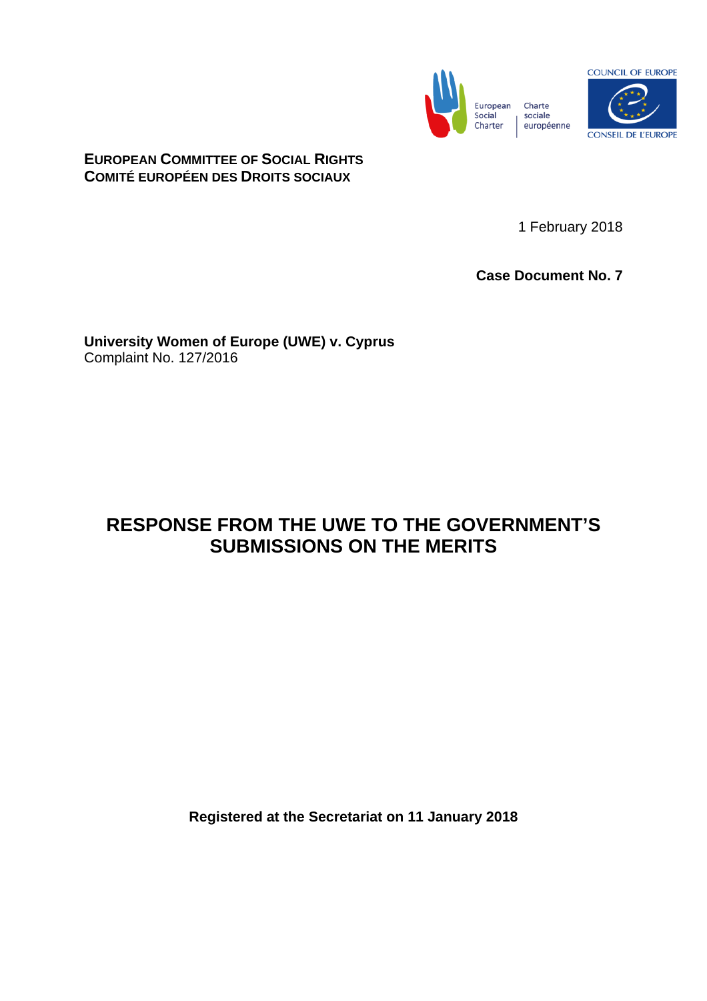



**EUROPEAN COMMITTEE OF SOCIAL RIGHTS COMITÉ EUROPÉEN DES DROITS SOCIAUX**

1 February 2018

**Case Document No. 7**

**University Women of Europe (UWE) v. Cyprus** Complaint No. 127/2016

# **RESPONSE FROM THE UWE TO THE GOVERNMENT'S SUBMISSIONS ON THE MERITS**

**Registered at the Secretariat on 11 January 2018**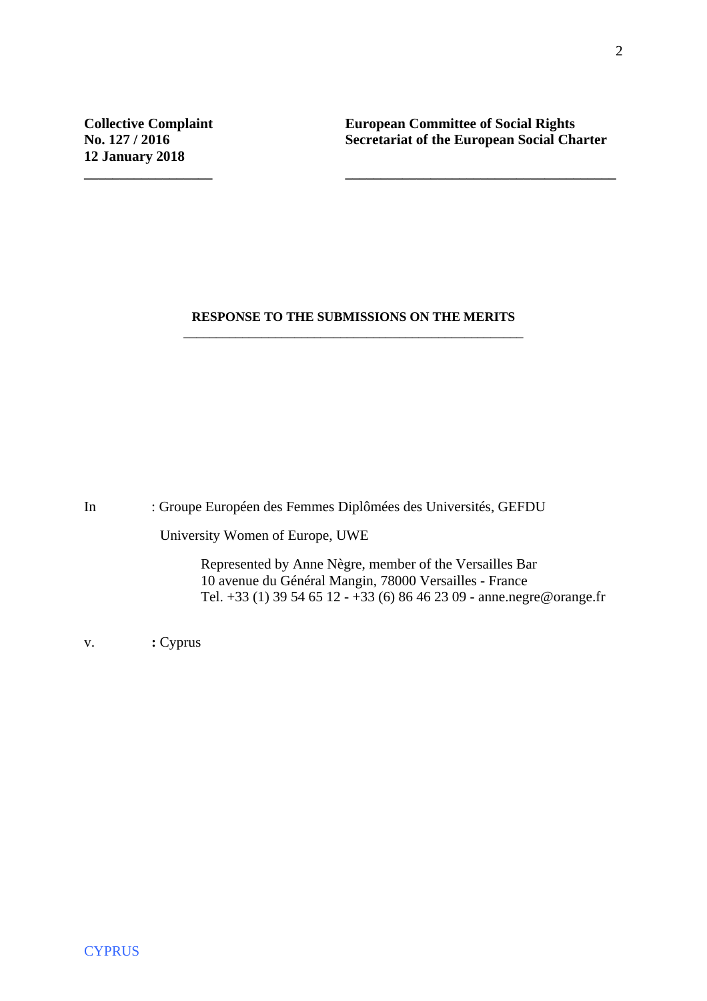**Collective Complaint European Committee of Social Rights<br>
No. 127 / 2016** Secretariat of the European Social Cha **No. 2016 Secretariat of the European Social Charter** 

#### **RESPONSE TO THE SUBMISSIONS ON THE MERITS**  \_\_\_\_\_\_\_\_\_\_\_\_\_\_\_\_\_\_\_\_\_\_\_\_\_\_\_\_\_\_\_\_\_\_\_\_\_\_\_\_\_\_\_\_\_\_\_\_\_\_\_\_

**\_\_\_\_\_\_\_\_\_\_\_\_\_\_\_\_\_\_ \_\_\_\_\_\_\_\_\_\_\_\_\_\_\_\_\_\_\_\_\_\_\_\_\_\_\_\_\_\_\_\_\_\_\_\_\_\_**

In : Groupe Européen des Femmes Diplômées des Universités, GEFDU

University Women of Europe, UWE

 Represented by Anne Nègre, member of the Versailles Bar 10 avenue du Général Mangin, 78000 Versailles - France Tel. +33 (1) 39 54 65 12 - +33 (6) 86 46 23 09 - anne.negre@orange.fr

v. **:** Cyprus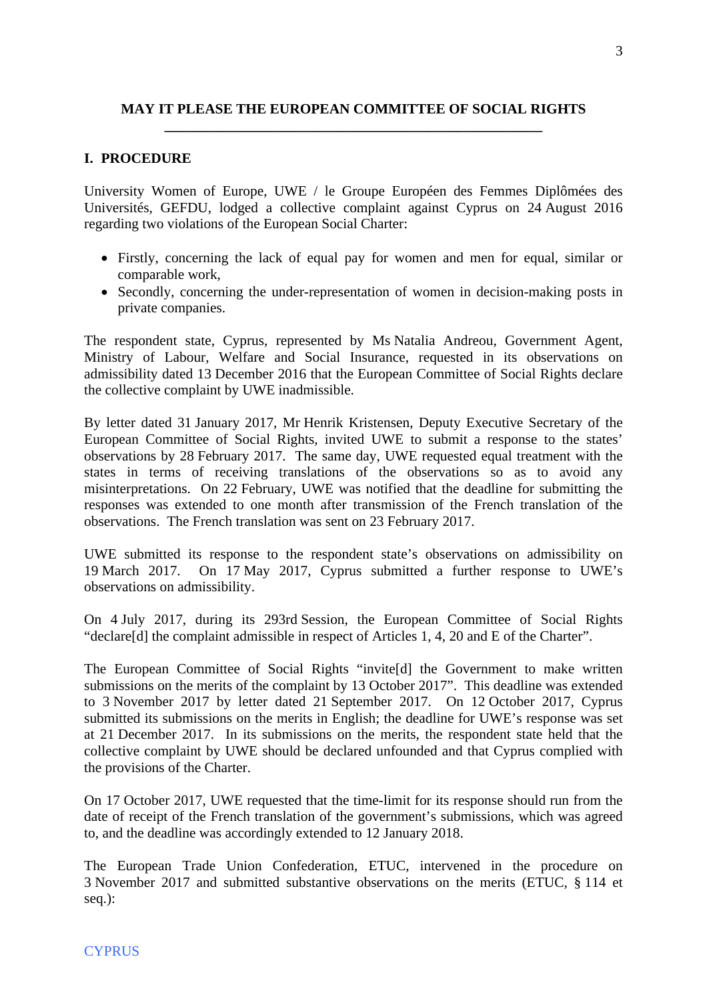## **MAY IT PLEASE THE EUROPEAN COMMITTEE OF SOCIAL RIGHTS \_\_\_\_\_\_\_\_\_\_\_\_\_\_\_\_\_\_\_\_\_\_\_\_\_\_\_\_\_\_\_\_\_\_\_\_\_\_\_\_\_\_\_\_\_\_\_\_\_\_\_\_\_**

### **I. PROCEDURE**

University Women of Europe, UWE / le Groupe Européen des Femmes Diplômées des Universités, GEFDU, lodged a collective complaint against Cyprus on 24 August 2016 regarding two violations of the European Social Charter:

- Firstly, concerning the lack of equal pay for women and men for equal, similar or comparable work,
- Secondly, concerning the under-representation of women in decision-making posts in private companies.

The respondent state, Cyprus, represented by Ms Natalia Andreou, Government Agent, Ministry of Labour, Welfare and Social Insurance, requested in its observations on admissibility dated 13 December 2016 that the European Committee of Social Rights declare the collective complaint by UWE inadmissible.

By letter dated 31 January 2017, Mr Henrik Kristensen, Deputy Executive Secretary of the European Committee of Social Rights, invited UWE to submit a response to the states' observations by 28 February 2017. The same day, UWE requested equal treatment with the states in terms of receiving translations of the observations so as to avoid any misinterpretations. On 22 February, UWE was notified that the deadline for submitting the responses was extended to one month after transmission of the French translation of the observations. The French translation was sent on 23 February 2017.

UWE submitted its response to the respondent state's observations on admissibility on 19 March 2017. On 17 May 2017, Cyprus submitted a further response to UWE's observations on admissibility.

On 4 July 2017, during its 293rd Session, the European Committee of Social Rights "declare[d] the complaint admissible in respect of Articles 1, 4, 20 and E of the Charter".

The European Committee of Social Rights "invite[d] the Government to make written submissions on the merits of the complaint by 13 October 2017". This deadline was extended to 3 November 2017 by letter dated 21 September 2017. On 12 October 2017, Cyprus submitted its submissions on the merits in English; the deadline for UWE's response was set at 21 December 2017. In its submissions on the merits, the respondent state held that the collective complaint by UWE should be declared unfounded and that Cyprus complied with the provisions of the Charter.

On 17 October 2017, UWE requested that the time-limit for its response should run from the date of receipt of the French translation of the government's submissions, which was agreed to, and the deadline was accordingly extended to 12 January 2018.

The European Trade Union Confederation, ETUC, intervened in the procedure on 3 November 2017 and submitted substantive observations on the merits (ETUC, § 114 et seq.):

#### **CYPRUS**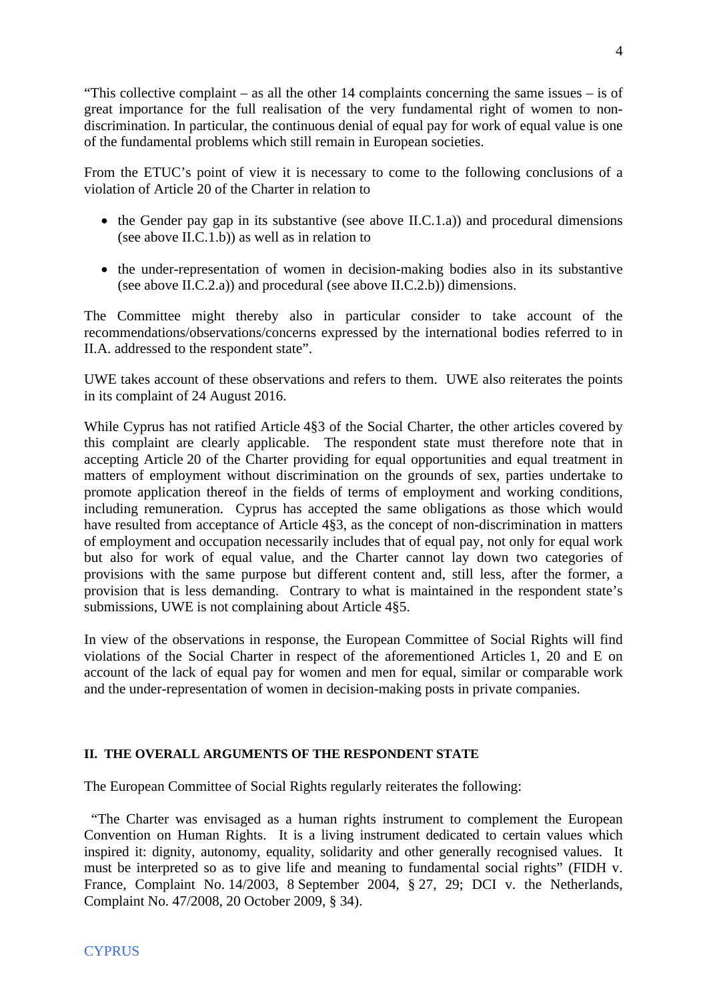"This collective complaint – as all the other 14 complaints concerning the same issues – is of great importance for the full realisation of the very fundamental right of women to nondiscrimination. In particular, the continuous denial of equal pay for work of equal value is one of the fundamental problems which still remain in European societies.

From the ETUC's point of view it is necessary to come to the following conclusions of a violation of Article 20 of the Charter in relation to

- $\bullet$  the Gender pay gap in its substantive (see above II.C.1.a)) and procedural dimensions (see above II.C.1.b)) as well as in relation to
- the under-representation of women in decision-making bodies also in its substantive (see above II.C.2.a)) and procedural (see above II.C.2.b)) dimensions.

The Committee might thereby also in particular consider to take account of the recommendations/observations/concerns expressed by the international bodies referred to in II.A. addressed to the respondent state".

UWE takes account of these observations and refers to them. UWE also reiterates the points in its complaint of 24 August 2016.

While Cyprus has not ratified Article 4§3 of the Social Charter, the other articles covered by this complaint are clearly applicable. The respondent state must therefore note that in accepting Article 20 of the Charter providing for equal opportunities and equal treatment in matters of employment without discrimination on the grounds of sex, parties undertake to promote application thereof in the fields of terms of employment and working conditions, including remuneration. Cyprus has accepted the same obligations as those which would have resulted from acceptance of Article 4§3, as the concept of non-discrimination in matters of employment and occupation necessarily includes that of equal pay, not only for equal work but also for work of equal value, and the Charter cannot lay down two categories of provisions with the same purpose but different content and, still less, after the former, a provision that is less demanding. Contrary to what is maintained in the respondent state's submissions, UWE is not complaining about Article 4§5.

In view of the observations in response, the European Committee of Social Rights will find violations of the Social Charter in respect of the aforementioned Articles 1, 20 and E on account of the lack of equal pay for women and men for equal, similar or comparable work and the under-representation of women in decision-making posts in private companies.

### **II. THE OVERALL ARGUMENTS OF THE RESPONDENT STATE**

The European Committee of Social Rights regularly reiterates the following:

 "The Charter was envisaged as a human rights instrument to complement the European Convention on Human Rights. It is a living instrument dedicated to certain values which inspired it: dignity, autonomy, equality, solidarity and other generally recognised values. It must be interpreted so as to give life and meaning to fundamental social rights" (FIDH v. France, Complaint No. 14/2003, 8 September 2004, § 27, 29; DCI v. the Netherlands, Complaint No. 47/2008, 20 October 2009, § 34).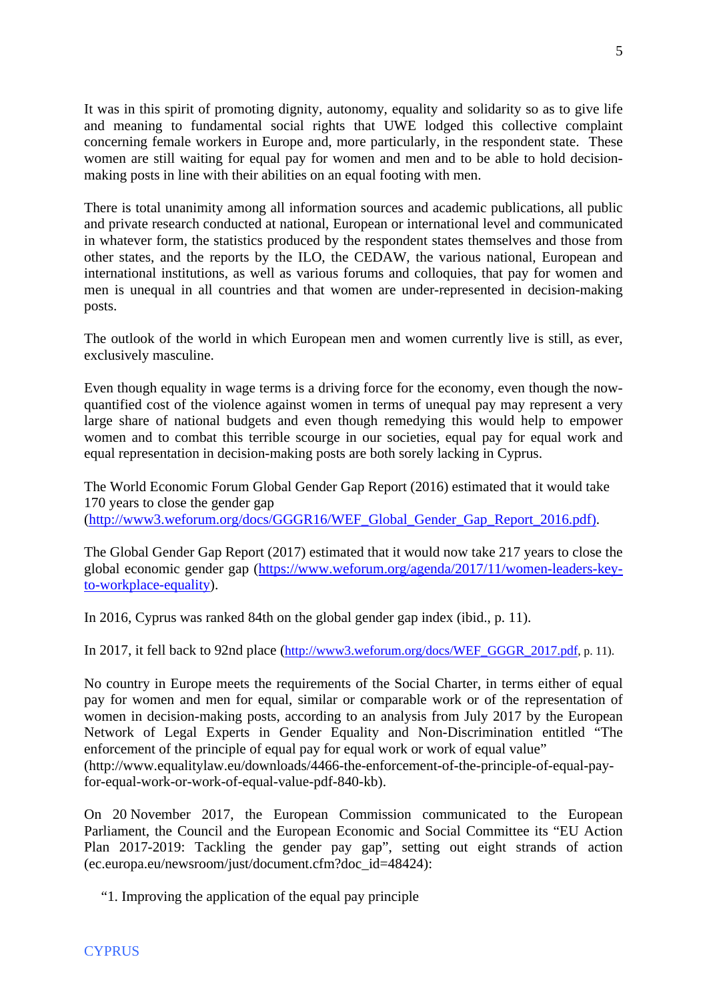It was in this spirit of promoting dignity, autonomy, equality and solidarity so as to give life and meaning to fundamental social rights that UWE lodged this collective complaint concerning female workers in Europe and, more particularly, in the respondent state. These women are still waiting for equal pay for women and men and to be able to hold decisionmaking posts in line with their abilities on an equal footing with men.

There is total unanimity among all information sources and academic publications, all public and private research conducted at national, European or international level and communicated in whatever form, the statistics produced by the respondent states themselves and those from other states, and the reports by the ILO, the CEDAW, the various national, European and international institutions, as well as various forums and colloquies, that pay for women and men is unequal in all countries and that women are under-represented in decision-making posts.

The outlook of the world in which European men and women currently live is still, as ever, exclusively masculine.

Even though equality in wage terms is a driving force for the economy, even though the nowquantified cost of the violence against women in terms of unequal pay may represent a very large share of national budgets and even though remedying this would help to empower women and to combat this terrible scourge in our societies, equal pay for equal work and equal representation in decision-making posts are both sorely lacking in Cyprus.

The World Economic Forum Global Gender Gap Report (2016) estimated that it would take 170 years to close the gender gap ([http://www3.weforum.org/docs/GGGR16/WEF\\_Global\\_Gender\\_Gap\\_Report\\_2016.pdf\)](http://www3.weforum.org/docs/GGGR16/WEF_Global_Gender_Gap_Report_2016.pdf).

The Global Gender Gap Report (2017) estimated that it would now take 217 years to close the global economic gender gap ([https://www.weforum.org/agenda/2017/11/women-leaders-key](https://www.weforum.org/agenda/2017/11/women-leaders-key-to-workplace-equality)[to-workplace-equality\)](https://www.weforum.org/agenda/2017/11/women-leaders-key-to-workplace-equality).

In 2016, Cyprus was ranked 84th on the global gender gap index (ibid., p. 11).

In 2017, it fell back to 92nd place ([http://www3.weforum.org/docs/WEF\\_GGGR\\_2017.pdf](http://www3.weforum.org/docs/WEF_GGGR_2017.pdf), p. 11).

No country in Europe meets the requirements of the Social Charter, in terms either of equal pay for women and men for equal, similar or comparable work or of the representation of women in decision-making posts, according to an analysis from July 2017 by the European Network of Legal Experts in Gender Equality and Non-Discrimination entitled "The enforcement of the principle of equal pay for equal work or work of equal value" (http://www.equalitylaw.eu/downloads/4466-the-enforcement-of-the-principle-of-equal-pay-

for-equal-work-or-work-of-equal-value-pdf-840-kb).

On 20 November 2017, the European Commission communicated to the European Parliament, the Council and the European Economic and Social Committee its "EU Action Plan 2017-2019: Tackling the gender pay gap", setting out eight strands of action (ec.europa.eu/newsroom/just/document.cfm?doc\_id=48424):

"1. Improving the application of the equal pay principle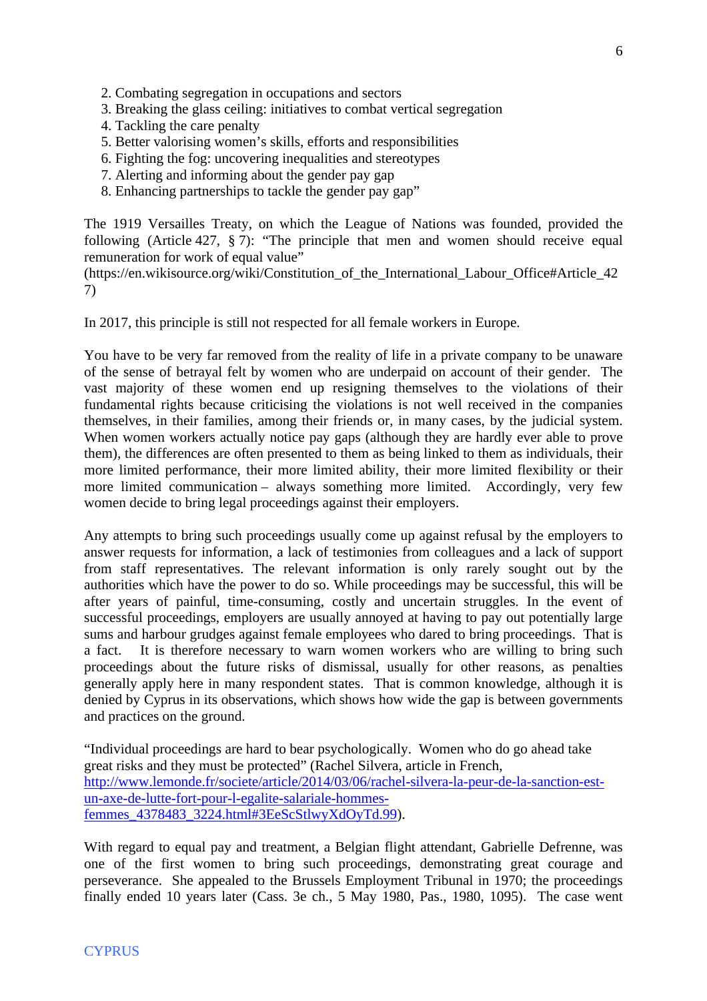- 2. Combating segregation in occupations and sectors
- 3. Breaking the glass ceiling: initiatives to combat vertical segregation
- 4. Tackling the care penalty
- 5. Better valorising women's skills, efforts and responsibilities
- 6. Fighting the fog: uncovering inequalities and stereotypes
- 7. Alerting and informing about the gender pay gap
- 8. Enhancing partnerships to tackle the gender pay gap"

The 1919 Versailles Treaty, on which the League of Nations was founded, provided the following (Article 427, § 7): "The principle that men and women should receive equal remuneration for work of equal value"

(https://en.wikisource.org/wiki/Constitution\_of\_the\_International\_Labour\_Office#Article\_42 7)

In 2017, this principle is still not respected for all female workers in Europe.

You have to be very far removed from the reality of life in a private company to be unaware of the sense of betrayal felt by women who are underpaid on account of their gender. The vast majority of these women end up resigning themselves to the violations of their fundamental rights because criticising the violations is not well received in the companies themselves, in their families, among their friends or, in many cases, by the judicial system. When women workers actually notice pay gaps (although they are hardly ever able to prove them), the differences are often presented to them as being linked to them as individuals, their more limited performance, their more limited ability, their more limited flexibility or their more limited communication – always something more limited. Accordingly, very few women decide to bring legal proceedings against their employers.

Any attempts to bring such proceedings usually come up against refusal by the employers to answer requests for information, a lack of testimonies from colleagues and a lack of support from staff representatives. The relevant information is only rarely sought out by the authorities which have the power to do so. While proceedings may be successful, this will be after years of painful, time-consuming, costly and uncertain struggles. In the event of successful proceedings, employers are usually annoyed at having to pay out potentially large sums and harbour grudges against female employees who dared to bring proceedings. That is a fact. It is therefore necessary to warn women workers who are willing to bring such proceedings about the future risks of dismissal, usually for other reasons, as penalties generally apply here in many respondent states. That is common knowledge, although it is denied by Cyprus in its observations, which shows how wide the gap is between governments and practices on the ground.

"Individual proceedings are hard to bear psychologically. Women who do go ahead take great risks and they must be protected" (Rachel Silvera, article in French, [http://www.lemonde.fr/societe/article/2014/03/06/rachel-silvera-la-peur-de-la-sanction-est](http://www.lemonde.fr/societe/article/2014/03/06/rachel-silvera-la-peur-de-la-sanction-est-un-axe-de-lutte-fort-pour-l-egalite-salariale-hommes-femmes_4378483_3224.html#3EeScStlwyXdOyTd.99)[un-axe-de-lutte-fort-pour-l-egalite-salariale-hommes](http://www.lemonde.fr/societe/article/2014/03/06/rachel-silvera-la-peur-de-la-sanction-est-un-axe-de-lutte-fort-pour-l-egalite-salariale-hommes-femmes_4378483_3224.html#3EeScStlwyXdOyTd.99)[femmes\\_4378483\\_3224.html#3EeScStlwyXdOyTd.99](http://www.lemonde.fr/societe/article/2014/03/06/rachel-silvera-la-peur-de-la-sanction-est-un-axe-de-lutte-fort-pour-l-egalite-salariale-hommes-femmes_4378483_3224.html#3EeScStlwyXdOyTd.99)).

With regard to equal pay and treatment, a Belgian flight attendant, Gabrielle Defrenne, was one of the first women to bring such proceedings, demonstrating great courage and perseverance. She appealed to the Brussels Employment Tribunal in 1970; the proceedings finally ended 10 years later (Cass. 3e ch., 5 May 1980, Pas., 1980, 1095). The case went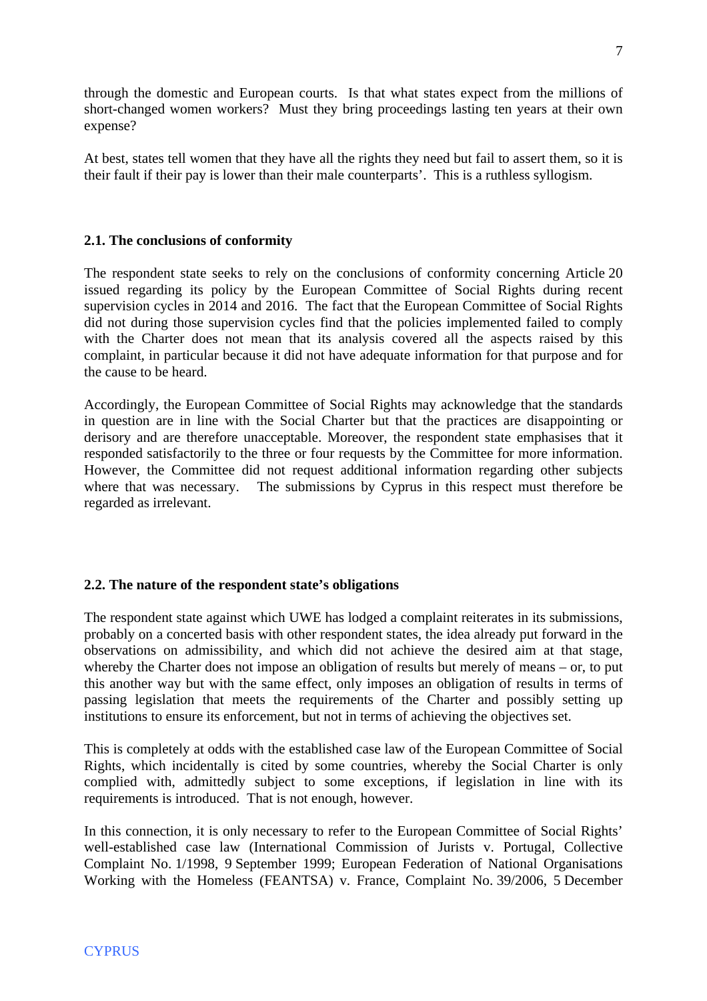through the domestic and European courts. Is that what states expect from the millions of short-changed women workers? Must they bring proceedings lasting ten years at their own expense?

At best, states tell women that they have all the rights they need but fail to assert them, so it is their fault if their pay is lower than their male counterparts'. This is a ruthless syllogism.

# **2.1. The conclusions of conformity**

The respondent state seeks to rely on the conclusions of conformity concerning Article 20 issued regarding its policy by the European Committee of Social Rights during recent supervision cycles in 2014 and 2016. The fact that the European Committee of Social Rights did not during those supervision cycles find that the policies implemented failed to comply with the Charter does not mean that its analysis covered all the aspects raised by this complaint, in particular because it did not have adequate information for that purpose and for the cause to be heard.

Accordingly, the European Committee of Social Rights may acknowledge that the standards in question are in line with the Social Charter but that the practices are disappointing or derisory and are therefore unacceptable. Moreover, the respondent state emphasises that it responded satisfactorily to the three or four requests by the Committee for more information. However, the Committee did not request additional information regarding other subjects where that was necessary. The submissions by Cyprus in this respect must therefore be regarded as irrelevant.

### **2.2. The nature of the respondent state's obligations**

The respondent state against which UWE has lodged a complaint reiterates in its submissions, probably on a concerted basis with other respondent states, the idea already put forward in the observations on admissibility, and which did not achieve the desired aim at that stage, whereby the Charter does not impose an obligation of results but merely of means – or, to put this another way but with the same effect, only imposes an obligation of results in terms of passing legislation that meets the requirements of the Charter and possibly setting up institutions to ensure its enforcement, but not in terms of achieving the objectives set.

This is completely at odds with the established case law of the European Committee of Social Rights, which incidentally is cited by some countries, whereby the Social Charter is only complied with, admittedly subject to some exceptions, if legislation in line with its requirements is introduced. That is not enough, however.

In this connection, it is only necessary to refer to the European Committee of Social Rights' well-established case law (International Commission of Jurists v. Portugal, Collective Complaint No. 1/1998, 9 September 1999; European Federation of National Organisations Working with the Homeless (FEANTSA) v. France, Complaint No. 39/2006, 5 December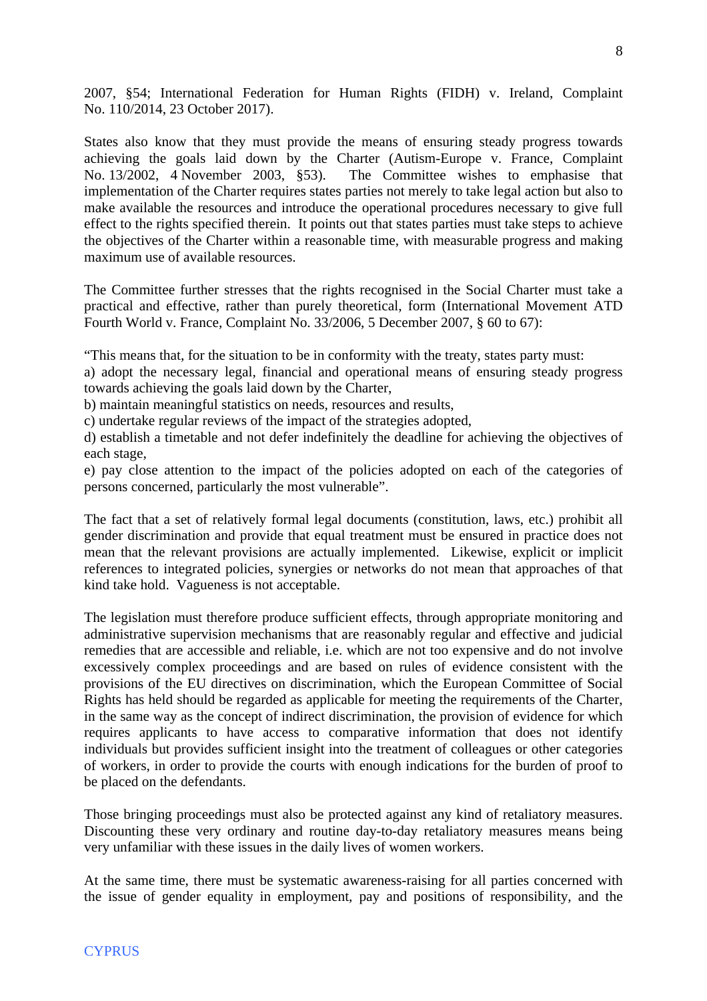2007, §54; International Federation for Human Rights (FIDH) v. Ireland, Complaint No. 110/2014, 23 October 2017).

States also know that they must provide the means of ensuring steady progress towards achieving the goals laid down by the Charter (Autism-Europe v. France, Complaint No. 13/2002, 4 November 2003, §53). The Committee wishes to emphasise that implementation of the Charter requires states parties not merely to take legal action but also to make available the resources and introduce the operational procedures necessary to give full effect to the rights specified therein. It points out that states parties must take steps to achieve the objectives of the Charter within a reasonable time, with measurable progress and making maximum use of available resources.

The Committee further stresses that the rights recognised in the Social Charter must take a practical and effective, rather than purely theoretical, form (International Movement ATD Fourth World v. France, Complaint No. 33/2006, 5 December 2007, § 60 to 67):

"This means that, for the situation to be in conformity with the treaty, states party must:

a) adopt the necessary legal, financial and operational means of ensuring steady progress towards achieving the goals laid down by the Charter,

b) maintain meaningful statistics on needs, resources and results,

c) undertake regular reviews of the impact of the strategies adopted,

d) establish a timetable and not defer indefinitely the deadline for achieving the objectives of each stage,

e) pay close attention to the impact of the policies adopted on each of the categories of persons concerned, particularly the most vulnerable".

The fact that a set of relatively formal legal documents (constitution, laws, etc.) prohibit all gender discrimination and provide that equal treatment must be ensured in practice does not mean that the relevant provisions are actually implemented. Likewise, explicit or implicit references to integrated policies, synergies or networks do not mean that approaches of that kind take hold. Vagueness is not acceptable.

The legislation must therefore produce sufficient effects, through appropriate monitoring and administrative supervision mechanisms that are reasonably regular and effective and judicial remedies that are accessible and reliable, i.e. which are not too expensive and do not involve excessively complex proceedings and are based on rules of evidence consistent with the provisions of the EU directives on discrimination, which the European Committee of Social Rights has held should be regarded as applicable for meeting the requirements of the Charter, in the same way as the concept of indirect discrimination, the provision of evidence for which requires applicants to have access to comparative information that does not identify individuals but provides sufficient insight into the treatment of colleagues or other categories of workers, in order to provide the courts with enough indications for the burden of proof to be placed on the defendants.

Those bringing proceedings must also be protected against any kind of retaliatory measures. Discounting these very ordinary and routine day-to-day retaliatory measures means being very unfamiliar with these issues in the daily lives of women workers.

At the same time, there must be systematic awareness-raising for all parties concerned with the issue of gender equality in employment, pay and positions of responsibility, and the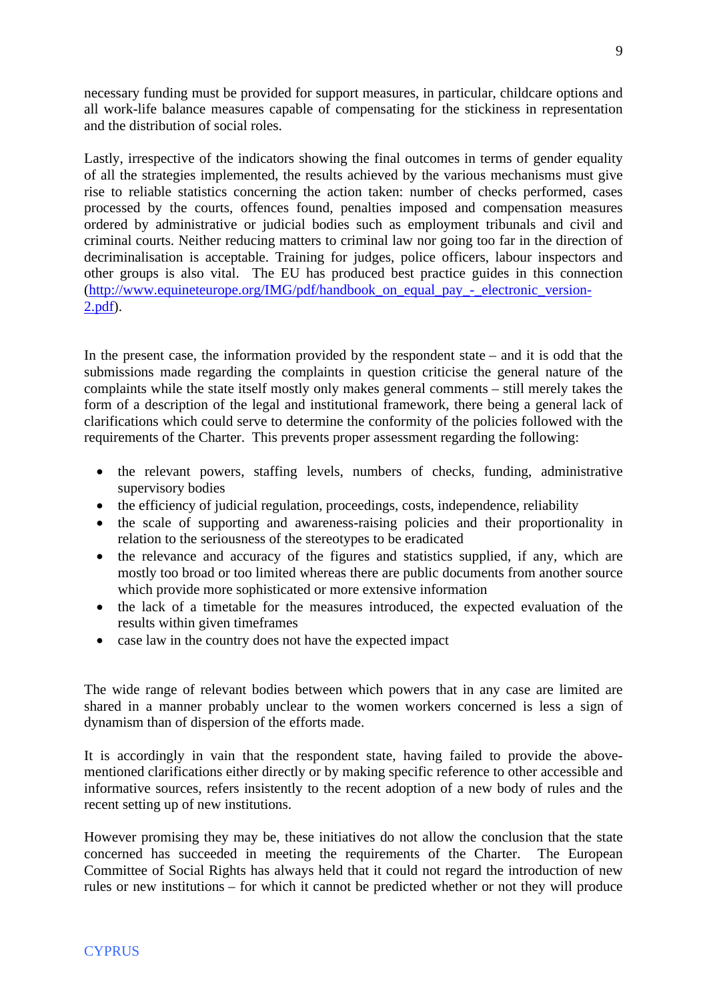necessary funding must be provided for support measures, in particular, childcare options and all work-life balance measures capable of compensating for the stickiness in representation and the distribution of social roles.

Lastly, irrespective of the indicators showing the final outcomes in terms of gender equality of all the strategies implemented, the results achieved by the various mechanisms must give rise to reliable statistics concerning the action taken: number of checks performed, cases processed by the courts, offences found, penalties imposed and compensation measures ordered by administrative or judicial bodies such as employment tribunals and civil and criminal courts. Neither reducing matters to criminal law nor going too far in the direction of decriminalisation is acceptable. Training for judges, police officers, labour inspectors and other groups is also vital. The EU has produced best practice guides in this connection (http://www.equineteurope.org/IMG/pdf/handbook on equal pay - electronic version-[2.pdf\)](http://www.equineteurope.org/IMG/pdf/handbook_on_equal_pay_-_electronic_version-2.pdf).

In the present case, the information provided by the respondent state – and it is odd that the submissions made regarding the complaints in question criticise the general nature of the complaints while the state itself mostly only makes general comments – still merely takes the form of a description of the legal and institutional framework, there being a general lack of clarifications which could serve to determine the conformity of the policies followed with the requirements of the Charter. This prevents proper assessment regarding the following:

- the relevant powers, staffing levels, numbers of checks, funding, administrative supervisory bodies
- the efficiency of judicial regulation, proceedings, costs, independence, reliability
- the scale of supporting and awareness-raising policies and their proportionality in relation to the seriousness of the stereotypes to be eradicated
- the relevance and accuracy of the figures and statistics supplied, if any, which are mostly too broad or too limited whereas there are public documents from another source which provide more sophisticated or more extensive information
- the lack of a timetable for the measures introduced, the expected evaluation of the results within given timeframes
- case law in the country does not have the expected impact

The wide range of relevant bodies between which powers that in any case are limited are shared in a manner probably unclear to the women workers concerned is less a sign of dynamism than of dispersion of the efforts made.

It is accordingly in vain that the respondent state, having failed to provide the abovementioned clarifications either directly or by making specific reference to other accessible and informative sources, refers insistently to the recent adoption of a new body of rules and the recent setting up of new institutions.

However promising they may be, these initiatives do not allow the conclusion that the state concerned has succeeded in meeting the requirements of the Charter. The European Committee of Social Rights has always held that it could not regard the introduction of new rules or new institutions – for which it cannot be predicted whether or not they will produce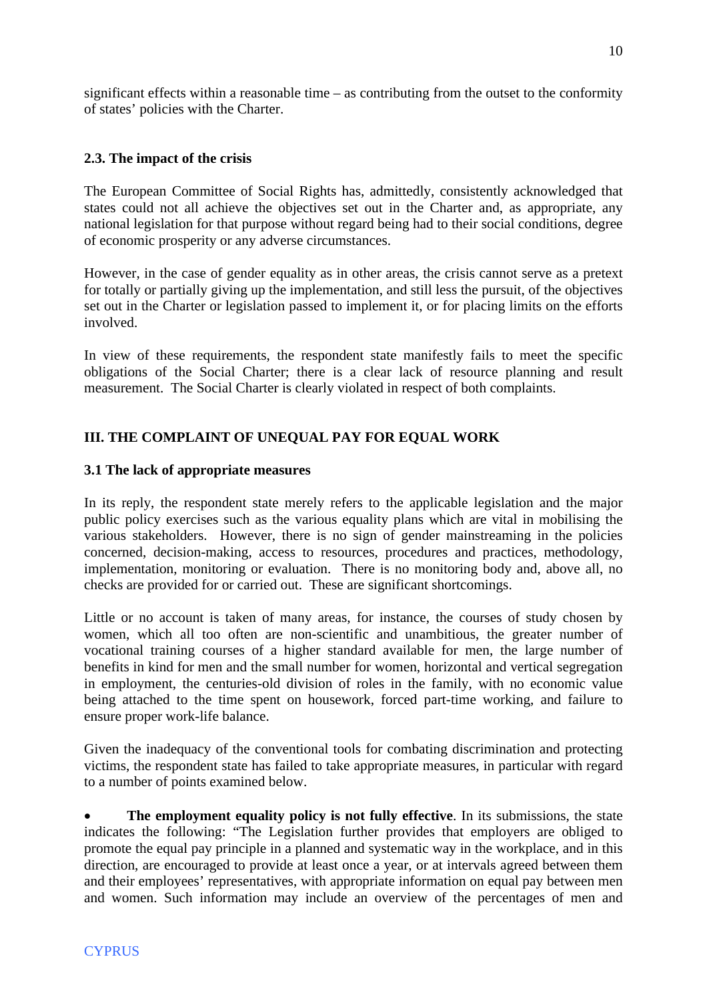significant effects within a reasonable time – as contributing from the outset to the conformity of states' policies with the Charter.

# **2.3. The impact of the crisis**

The European Committee of Social Rights has, admittedly, consistently acknowledged that states could not all achieve the objectives set out in the Charter and, as appropriate, any national legislation for that purpose without regard being had to their social conditions, degree of economic prosperity or any adverse circumstances.

However, in the case of gender equality as in other areas, the crisis cannot serve as a pretext for totally or partially giving up the implementation, and still less the pursuit, of the objectives set out in the Charter or legislation passed to implement it, or for placing limits on the efforts involved.

In view of these requirements, the respondent state manifestly fails to meet the specific obligations of the Social Charter; there is a clear lack of resource planning and result measurement. The Social Charter is clearly violated in respect of both complaints.

# **III. THE COMPLAINT OF UNEQUAL PAY FOR EQUAL WORK**

# **3.1 The lack of appropriate measures**

In its reply, the respondent state merely refers to the applicable legislation and the major public policy exercises such as the various equality plans which are vital in mobilising the various stakeholders. However, there is no sign of gender mainstreaming in the policies concerned, decision-making, access to resources, procedures and practices, methodology, implementation, monitoring or evaluation. There is no monitoring body and, above all, no checks are provided for or carried out. These are significant shortcomings.

Little or no account is taken of many areas, for instance, the courses of study chosen by women, which all too often are non-scientific and unambitious, the greater number of vocational training courses of a higher standard available for men, the large number of benefits in kind for men and the small number for women, horizontal and vertical segregation in employment, the centuries-old division of roles in the family, with no economic value being attached to the time spent on housework, forced part-time working, and failure to ensure proper work-life balance.

Given the inadequacy of the conventional tools for combating discrimination and protecting victims, the respondent state has failed to take appropriate measures, in particular with regard to a number of points examined below.

 **The employment equality policy is not fully effective**. In its submissions, the state indicates the following: "The Legislation further provides that employers are obliged to promote the equal pay principle in a planned and systematic way in the workplace, and in this direction, are encouraged to provide at least once a year, or at intervals agreed between them and their employees' representatives, with appropriate information on equal pay between men and women. Such information may include an overview of the percentages of men and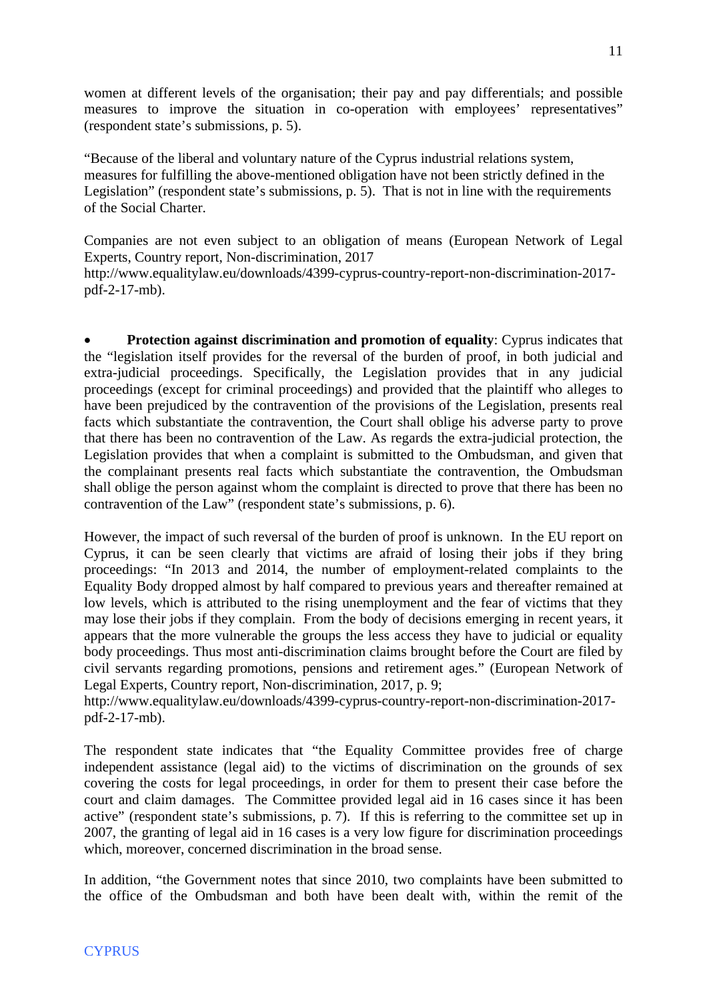women at different levels of the organisation; their pay and pay differentials; and possible measures to improve the situation in co-operation with employees' representatives" (respondent state's submissions, p. 5).

"Because of the liberal and voluntary nature of the Cyprus industrial relations system, measures for fulfilling the above-mentioned obligation have not been strictly defined in the Legislation" (respondent state's submissions, p. 5). That is not in line with the requirements of the Social Charter.

Companies are not even subject to an obligation of means (European Network of Legal Experts, Country report, Non-discrimination, 2017

http://www.equalitylaw.eu/downloads/4399-cyprus-country-report-non-discrimination-2017 pdf-2-17-mb).

 **Protection against discrimination and promotion of equality**: Cyprus indicates that the "legislation itself provides for the reversal of the burden of proof, in both judicial and extra-judicial proceedings. Specifically, the Legislation provides that in any judicial proceedings (except for criminal proceedings) and provided that the plaintiff who alleges to have been prejudiced by the contravention of the provisions of the Legislation, presents real facts which substantiate the contravention, the Court shall oblige his adverse party to prove that there has been no contravention of the Law. As regards the extra-judicial protection, the Legislation provides that when a complaint is submitted to the Ombudsman, and given that the complainant presents real facts which substantiate the contravention, the Ombudsman shall oblige the person against whom the complaint is directed to prove that there has been no contravention of the Law" (respondent state's submissions, p. 6).

However, the impact of such reversal of the burden of proof is unknown. In the EU report on Cyprus, it can be seen clearly that victims are afraid of losing their jobs if they bring proceedings: "In 2013 and 2014, the number of employment-related complaints to the Equality Body dropped almost by half compared to previous years and thereafter remained at low levels, which is attributed to the rising unemployment and the fear of victims that they may lose their jobs if they complain. From the body of decisions emerging in recent years, it appears that the more vulnerable the groups the less access they have to judicial or equality body proceedings. Thus most anti-discrimination claims brought before the Court are filed by civil servants regarding promotions, pensions and retirement ages." (European Network of Legal Experts, Country report, Non-discrimination, 2017, p. 9;

http://www.equalitylaw.eu/downloads/4399-cyprus-country-report-non-discrimination-2017 pdf-2-17-mb).

The respondent state indicates that "the Equality Committee provides free of charge independent assistance (legal aid) to the victims of discrimination on the grounds of sex covering the costs for legal proceedings, in order for them to present their case before the court and claim damages. The Committee provided legal aid in 16 cases since it has been active" (respondent state's submissions, p. 7). If this is referring to the committee set up in 2007, the granting of legal aid in 16 cases is a very low figure for discrimination proceedings which, moreover, concerned discrimination in the broad sense.

In addition, "the Government notes that since 2010, two complaints have been submitted to the office of the Ombudsman and both have been dealt with, within the remit of the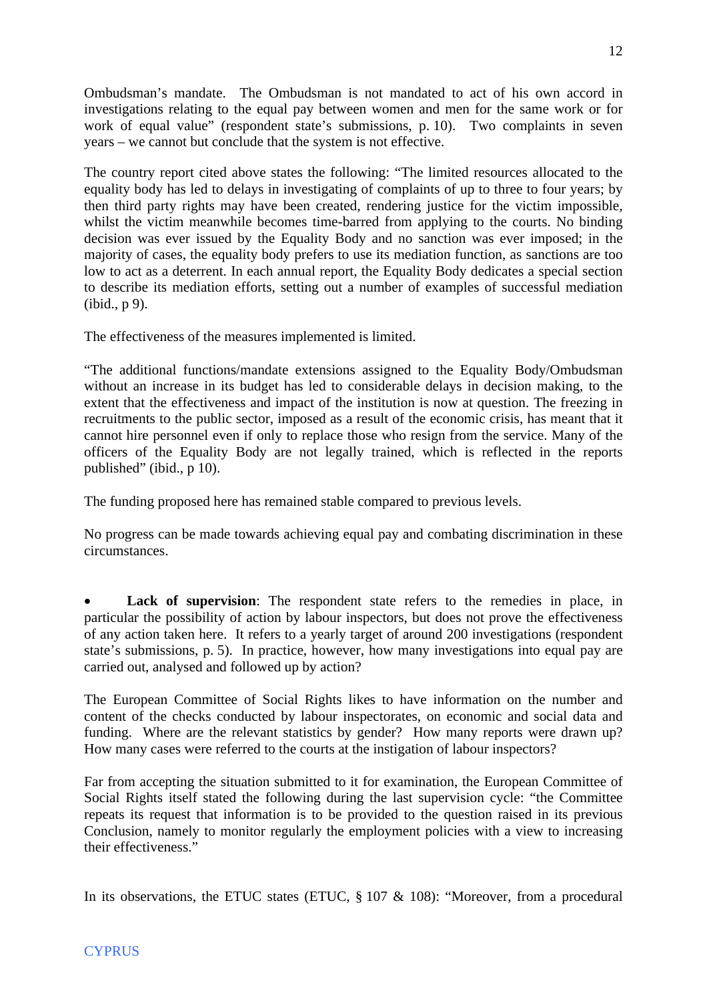Ombudsman's mandate. The Ombudsman is not mandated to act of his own accord in investigations relating to the equal pay between women and men for the same work or for work of equal value" (respondent state's submissions, p. 10). Two complaints in seven years – we cannot but conclude that the system is not effective.

The country report cited above states the following: "The limited resources allocated to the equality body has led to delays in investigating of complaints of up to three to four years; by then third party rights may have been created, rendering justice for the victim impossible, whilst the victim meanwhile becomes time-barred from applying to the courts. No binding decision was ever issued by the Equality Body and no sanction was ever imposed; in the majority of cases, the equality body prefers to use its mediation function, as sanctions are too low to act as a deterrent. In each annual report, the Equality Body dedicates a special section to describe its mediation efforts, setting out a number of examples of successful mediation (ibid., p 9).

The effectiveness of the measures implemented is limited.

"The additional functions/mandate extensions assigned to the Equality Body/Ombudsman without an increase in its budget has led to considerable delays in decision making, to the extent that the effectiveness and impact of the institution is now at question. The freezing in recruitments to the public sector, imposed as a result of the economic crisis, has meant that it cannot hire personnel even if only to replace those who resign from the service. Many of the officers of the Equality Body are not legally trained, which is reflected in the reports published" (ibid., p 10).

The funding proposed here has remained stable compared to previous levels.

No progress can be made towards achieving equal pay and combating discrimination in these circumstances.

Lack of supervision: The respondent state refers to the remedies in place, in particular the possibility of action by labour inspectors, but does not prove the effectiveness of any action taken here. It refers to a yearly target of around 200 investigations (respondent state's submissions, p. 5). In practice, however, how many investigations into equal pay are carried out, analysed and followed up by action?

The European Committee of Social Rights likes to have information on the number and content of the checks conducted by labour inspectorates, on economic and social data and funding. Where are the relevant statistics by gender? How many reports were drawn up? How many cases were referred to the courts at the instigation of labour inspectors?

Far from accepting the situation submitted to it for examination, the European Committee of Social Rights itself stated the following during the last supervision cycle: "the Committee repeats its request that information is to be provided to the question raised in its previous Conclusion, namely to monitor regularly the employment policies with a view to increasing their effectiveness."

In its observations, the ETUC states (ETUC,  $\S 107 \& 108$ ): "Moreover, from a procedural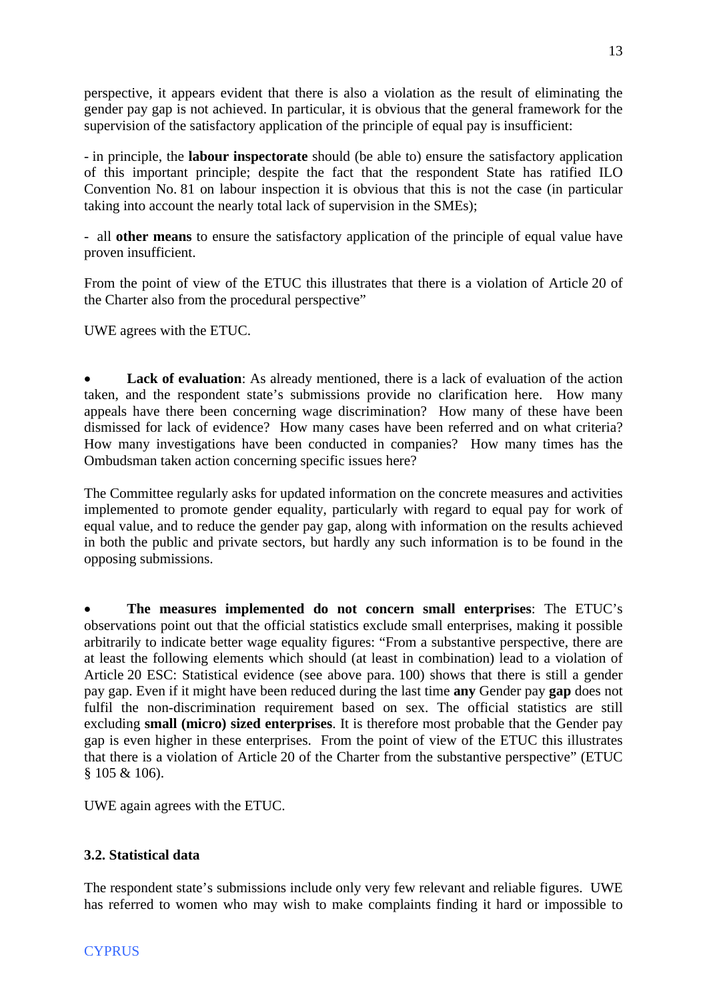perspective, it appears evident that there is also a violation as the result of eliminating the gender pay gap is not achieved. In particular, it is obvious that the general framework for the supervision of the satisfactory application of the principle of equal pay is insufficient:

- in principle, the **labour inspectorate** should (be able to) ensure the satisfactory application of this important principle; despite the fact that the respondent State has ratified ILO Convention No. 81 on labour inspection it is obvious that this is not the case (in particular taking into account the nearly total lack of supervision in the SMEs);

- all **other means** to ensure the satisfactory application of the principle of equal value have proven insufficient.

From the point of view of the ETUC this illustrates that there is a violation of Article 20 of the Charter also from the procedural perspective"

UWE agrees with the ETUC.

Lack of evaluation: As already mentioned, there is a lack of evaluation of the action taken, and the respondent state's submissions provide no clarification here. How many appeals have there been concerning wage discrimination? How many of these have been dismissed for lack of evidence? How many cases have been referred and on what criteria? How many investigations have been conducted in companies? How many times has the Ombudsman taken action concerning specific issues here?

The Committee regularly asks for updated information on the concrete measures and activities implemented to promote gender equality, particularly with regard to equal pay for work of equal value, and to reduce the gender pay gap, along with information on the results achieved in both the public and private sectors, but hardly any such information is to be found in the opposing submissions.

 **The measures implemented do not concern small enterprises**: The ETUC's observations point out that the official statistics exclude small enterprises, making it possible arbitrarily to indicate better wage equality figures: "From a substantive perspective, there are at least the following elements which should (at least in combination) lead to a violation of Article 20 ESC: Statistical evidence (see above para. 100) shows that there is still a gender pay gap. Even if it might have been reduced during the last time **any** Gender pay **gap** does not fulfil the non-discrimination requirement based on sex. The official statistics are still excluding **small (micro) sized enterprises**. It is therefore most probable that the Gender pay gap is even higher in these enterprises. From the point of view of the ETUC this illustrates that there is a violation of Article 20 of the Charter from the substantive perspective" (ETUC § 105 & 106).

UWE again agrees with the ETUC.

# **3.2. Statistical data**

The respondent state's submissions include only very few relevant and reliable figures. UWE has referred to women who may wish to make complaints finding it hard or impossible to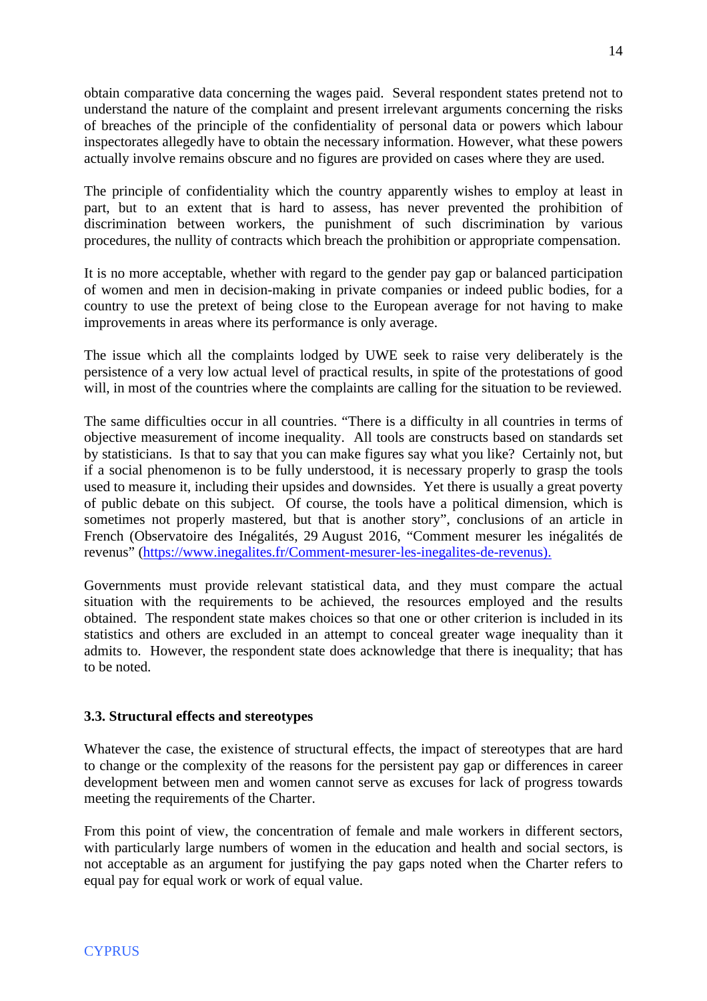obtain comparative data concerning the wages paid. Several respondent states pretend not to understand the nature of the complaint and present irrelevant arguments concerning the risks of breaches of the principle of the confidentiality of personal data or powers which labour inspectorates allegedly have to obtain the necessary information. However, what these powers actually involve remains obscure and no figures are provided on cases where they are used.

The principle of confidentiality which the country apparently wishes to employ at least in part, but to an extent that is hard to assess, has never prevented the prohibition of discrimination between workers, the punishment of such discrimination by various procedures, the nullity of contracts which breach the prohibition or appropriate compensation.

It is no more acceptable, whether with regard to the gender pay gap or balanced participation of women and men in decision-making in private companies or indeed public bodies, for a country to use the pretext of being close to the European average for not having to make improvements in areas where its performance is only average.

The issue which all the complaints lodged by UWE seek to raise very deliberately is the persistence of a very low actual level of practical results, in spite of the protestations of good will, in most of the countries where the complaints are calling for the situation to be reviewed.

The same difficulties occur in all countries. "There is a difficulty in all countries in terms of objective measurement of income inequality. All tools are constructs based on standards set by statisticians. Is that to say that you can make figures say what you like? Certainly not, but if a social phenomenon is to be fully understood, it is necessary properly to grasp the tools used to measure it, including their upsides and downsides. Yet there is usually a great poverty of public debate on this subject. Of course, the tools have a political dimension, which is sometimes not properly mastered, but that is another story", conclusions of an article in French (Observatoire des Inégalités, 29 August 2016, "Comment mesurer les inégalités de revenus" [\(https://www.inegalites.fr/Comment-mesurer-les-inegalites-de-revenus](https://www.inegalites.fr/Comment-mesurer-les-inegalites-de-revenus)).

Governments must provide relevant statistical data, and they must compare the actual situation with the requirements to be achieved, the resources employed and the results obtained. The respondent state makes choices so that one or other criterion is included in its statistics and others are excluded in an attempt to conceal greater wage inequality than it admits to. However, the respondent state does acknowledge that there is inequality; that has to be noted.

### **3.3. Structural effects and stereotypes**

Whatever the case, the existence of structural effects, the impact of stereotypes that are hard to change or the complexity of the reasons for the persistent pay gap or differences in career development between men and women cannot serve as excuses for lack of progress towards meeting the requirements of the Charter.

From this point of view, the concentration of female and male workers in different sectors, with particularly large numbers of women in the education and health and social sectors, is not acceptable as an argument for justifying the pay gaps noted when the Charter refers to equal pay for equal work or work of equal value.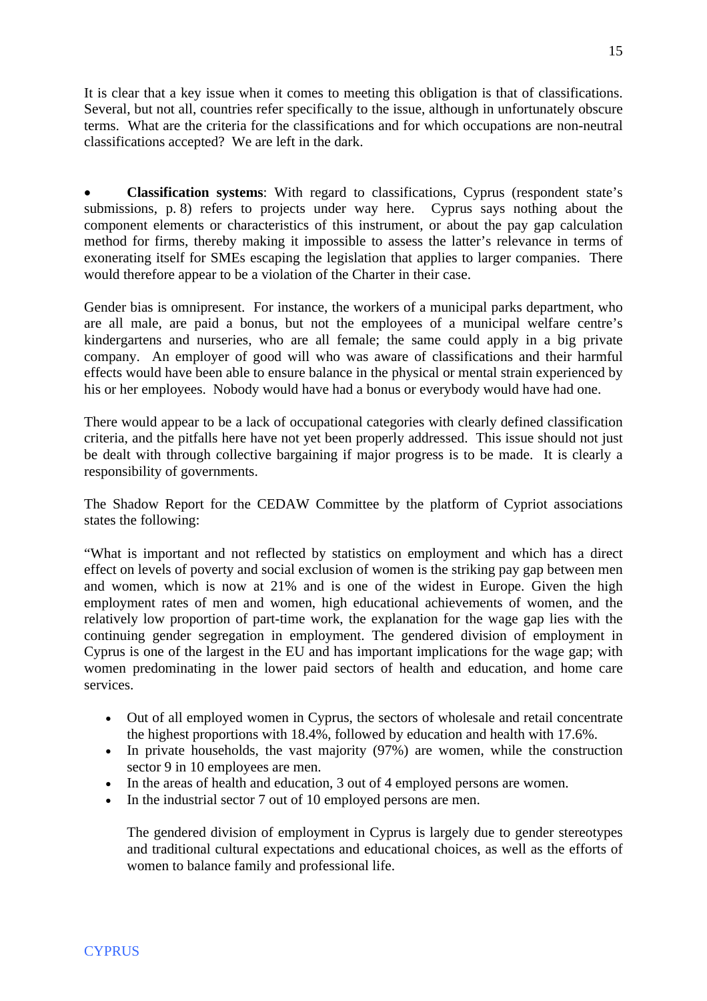It is clear that a key issue when it comes to meeting this obligation is that of classifications. Several, but not all, countries refer specifically to the issue, although in unfortunately obscure terms. What are the criteria for the classifications and for which occupations are non-neutral classifications accepted? We are left in the dark.

 **Classification systems**: With regard to classifications, Cyprus (respondent state's submissions, p. 8) refers to projects under way here. Cyprus says nothing about the component elements or characteristics of this instrument, or about the pay gap calculation method for firms, thereby making it impossible to assess the latter's relevance in terms of exonerating itself for SMEs escaping the legislation that applies to larger companies. There would therefore appear to be a violation of the Charter in their case.

Gender bias is omnipresent. For instance, the workers of a municipal parks department, who are all male, are paid a bonus, but not the employees of a municipal welfare centre's kindergartens and nurseries, who are all female; the same could apply in a big private company. An employer of good will who was aware of classifications and their harmful effects would have been able to ensure balance in the physical or mental strain experienced by his or her employees. Nobody would have had a bonus or everybody would have had one.

There would appear to be a lack of occupational categories with clearly defined classification criteria, and the pitfalls here have not yet been properly addressed. This issue should not just be dealt with through collective bargaining if major progress is to be made. It is clearly a responsibility of governments.

The Shadow Report for the CEDAW Committee by the platform of Cypriot associations states the following:

"What is important and not reflected by statistics on employment and which has a direct effect on levels of poverty and social exclusion of women is the striking pay gap between men and women, which is now at 21% and is one of the widest in Europe. Given the high employment rates of men and women, high educational achievements of women, and the relatively low proportion of part-time work, the explanation for the wage gap lies with the continuing gender segregation in employment. The gendered division of employment in Cyprus is one of the largest in the EU and has important implications for the wage gap; with women predominating in the lower paid sectors of health and education, and home care services.

- Out of all employed women in Cyprus, the sectors of wholesale and retail concentrate the highest proportions with 18.4%, followed by education and health with 17.6%.
- In private households, the vast majority  $(97%)$  are women, while the construction sector 9 in 10 employees are men.
- In the areas of health and education, 3 out of 4 employed persons are women.
- In the industrial sector 7 out of 10 employed persons are men.

The gendered division of employment in Cyprus is largely due to gender stereotypes and traditional cultural expectations and educational choices, as well as the efforts of women to balance family and professional life.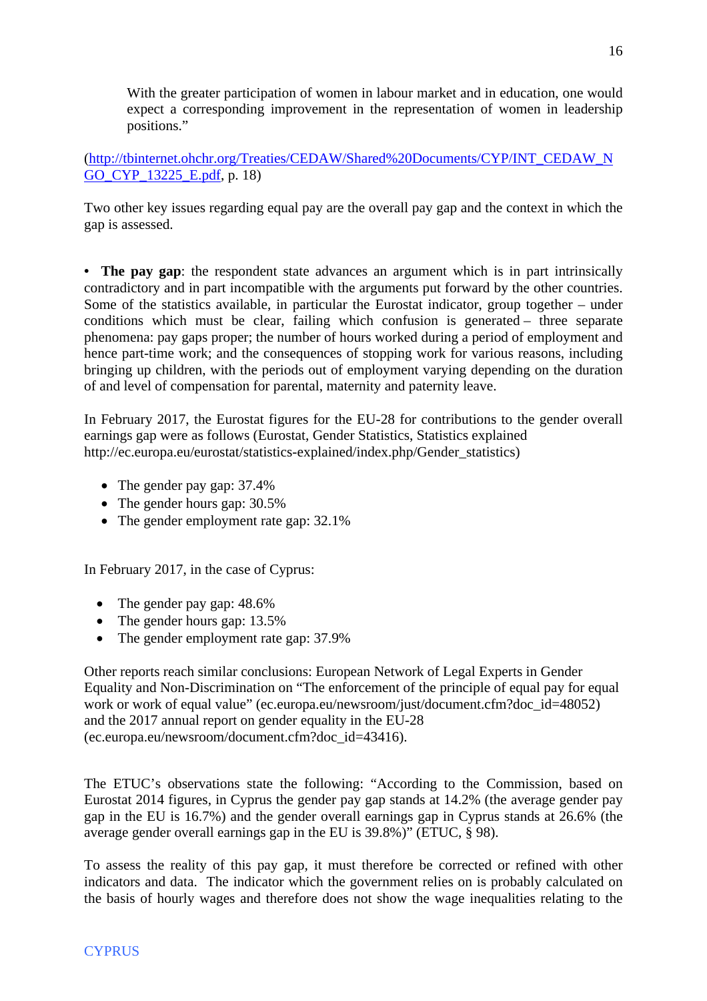With the greater participation of women in labour market and in education, one would expect a corresponding improvement in the representation of women in leadership positions."

([http://tbinternet.ohchr.org/Treaties/CEDAW/Shared%20Documents/CYP/INT\\_CEDAW\\_N](http://tbinternet.ohchr.org/Treaties/CEDAW/Shared%20Documents/CYP/INT_CEDAW_NGO_CYP_13225_E.pdf) [GO\\_CYP\\_13225\\_E.pdf,](http://tbinternet.ohchr.org/Treaties/CEDAW/Shared%20Documents/CYP/INT_CEDAW_NGO_CYP_13225_E.pdf) p. 18)

Two other key issues regarding equal pay are the overall pay gap and the context in which the gap is assessed.

**• The pay gap**: the respondent state advances an argument which is in part intrinsically contradictory and in part incompatible with the arguments put forward by the other countries. Some of the statistics available, in particular the Eurostat indicator, group together – under conditions which must be clear, failing which confusion is generated – three separate phenomena: pay gaps proper; the number of hours worked during a period of employment and hence part-time work; and the consequences of stopping work for various reasons, including bringing up children, with the periods out of employment varying depending on the duration of and level of compensation for parental, maternity and paternity leave.

In February 2017, the Eurostat figures for the EU-28 for contributions to the gender overall earnings gap were as follows (Eurostat, Gender Statistics, Statistics explained http://ec.europa.eu/eurostat/statistics-explained/index.php/Gender\_statistics)

- The gender pay gap: 37.4%
- The gender hours gap:  $30.5\%$
- The gender employment rate gap: 32.1%

In February 2017, in the case of Cyprus:

- The gender pay gap:  $48.6\%$
- The gender hours gap: 13.5%
- The gender employment rate gap: 37.9%

Other reports reach similar conclusions: European Network of Legal Experts in Gender Equality and Non-Discrimination on "The enforcement of the principle of equal pay for equal work or work of equal value" (ec.europa.eu/newsroom/just/document.cfm?doc\_id=48052) and the 2017 annual report on gender equality in the EU-28 (ec.europa.eu/newsroom/document.cfm?doc\_id=43416).

The ETUC's observations state the following: "According to the Commission, based on Eurostat 2014 figures, in Cyprus the gender pay gap stands at 14.2% (the average gender pay gap in the EU is 16.7%) and the gender overall earnings gap in Cyprus stands at 26.6% (the average gender overall earnings gap in the EU is 39.8%)" (ETUC, § 98).

To assess the reality of this pay gap, it must therefore be corrected or refined with other indicators and data. The indicator which the government relies on is probably calculated on the basis of hourly wages and therefore does not show the wage inequalities relating to the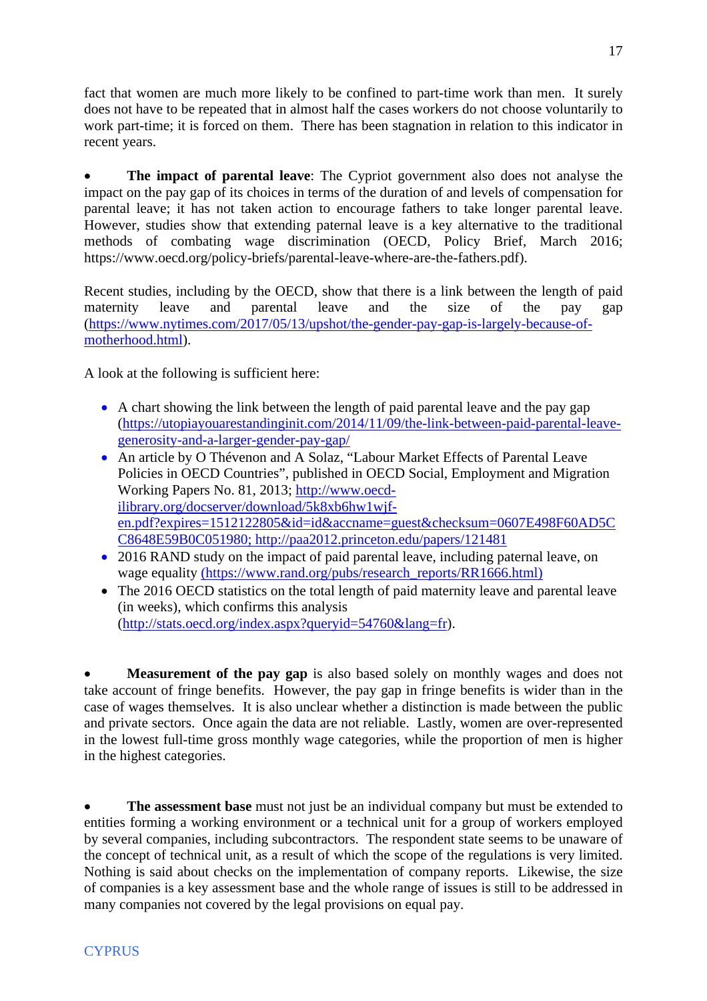fact that women are much more likely to be confined to part-time work than men. It surely does not have to be repeated that in almost half the cases workers do not choose voluntarily to work part-time; it is forced on them. There has been stagnation in relation to this indicator in recent years.

 **The impact of parental leave**: The Cypriot government also does not analyse the impact on the pay gap of its choices in terms of the duration of and levels of compensation for parental leave; it has not taken action to encourage fathers to take longer parental leave. However, studies show that extending paternal leave is a key alternative to the traditional methods of combating wage discrimination (OECD, Policy Brief, March 2016; https://www.oecd.org/policy-briefs/parental-leave-where-are-the-fathers.pdf).

Recent studies, including by the OECD, show that there is a link between the length of paid maternity leave and parental leave and the size of the pay gap ([https://www.nytimes.com/2017/05/13/upshot/the-gender-pay-gap-is-largely-because-of](https://www.nytimes.com/2017/05/13/upshot/the-gender-pay-gap-is-largely-because-of-motherhood.html)[motherhood.html\)](https://www.nytimes.com/2017/05/13/upshot/the-gender-pay-gap-is-largely-because-of-motherhood.html).

A look at the following is sufficient here:

- A chart showing the link between the length of paid parental leave and the pay gap [\(https://utopiayouarestandinginit.com/2014/11/09/the-link-between-paid-parental-leave](https://utopiayouarestandinginit.com/2014/11/09/the-link-between-paid-parental-leave-generosity-and-a-larger-gender-pay-gap/)[generosity-and-a-larger-gender-pay-gap/](https://utopiayouarestandinginit.com/2014/11/09/the-link-between-paid-parental-leave-generosity-and-a-larger-gender-pay-gap/)
- An article by O Thévenon and A Solaz, "Labour Market Effects of Parental Leave Policies in OECD Countries", published in OECD Social, Employment and Migration Working Papers No. 81, 2013; [http://www.oecd](http://www.oecd-ilibrary.org/docserver/download/5k8xb6hw1wjf-en.pdf?expires=1512122805&id=id&accname=guest&checksum=0607E498F60AD5CC8648E59B0C051980)[ilibrary.org/docserver/download/5k8xb6hw1wjf](http://www.oecd-ilibrary.org/docserver/download/5k8xb6hw1wjf-en.pdf?expires=1512122805&id=id&accname=guest&checksum=0607E498F60AD5CC8648E59B0C051980)[en.pdf?expires=1512122805&id=id&accname=guest&checksum=0607E498F60AD5C](http://www.oecd-ilibrary.org/docserver/download/5k8xb6hw1wjf-en.pdf?expires=1512122805&id=id&accname=guest&checksum=0607E498F60AD5CC8648E59B0C051980) [C8648E59B0C051980;](http://www.oecd-ilibrary.org/docserver/download/5k8xb6hw1wjf-en.pdf?expires=1512122805&id=id&accname=guest&checksum=0607E498F60AD5CC8648E59B0C051980) http://paa2012.princeton.edu/papers/121481
- 2016 RAND study on the impact of paid parental leave, including paternal leave, on wage equality (https://www.rand.org/pubs/research\_reports/RR1666.html)
- The 2016 OECD statistics on the total length of paid maternity leave and parental leave (in weeks), which confirms this analysis [\(http://stats.oecd.org/index.aspx?queryid=54760&lang=fr](http://stats.oecd.org/index.aspx?queryid=54760&lang=fr)).

 **Measurement of the pay gap** is also based solely on monthly wages and does not take account of fringe benefits. However, the pay gap in fringe benefits is wider than in the case of wages themselves. It is also unclear whether a distinction is made between the public and private sectors. Once again the data are not reliable. Lastly, women are over-represented in the lowest full-time gross monthly wage categories, while the proportion of men is higher in the highest categories.

 **The assessment base** must not just be an individual company but must be extended to entities forming a working environment or a technical unit for a group of workers employed by several companies, including subcontractors. The respondent state seems to be unaware of the concept of technical unit, as a result of which the scope of the regulations is very limited. Nothing is said about checks on the implementation of company reports. Likewise, the size of companies is a key assessment base and the whole range of issues is still to be addressed in many companies not covered by the legal provisions on equal pay.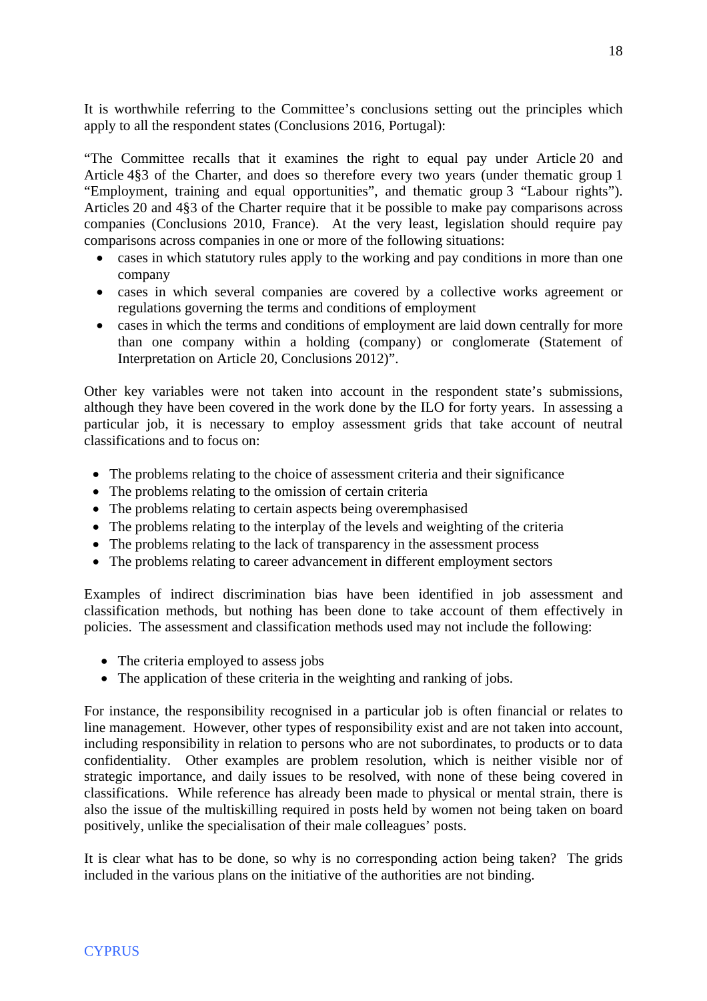It is worthwhile referring to the Committee's conclusions setting out the principles which apply to all the respondent states (Conclusions 2016, Portugal):

"The Committee recalls that it examines the right to equal pay under Article 20 and Article 4§3 of the Charter, and does so therefore every two years (under thematic group 1 "Employment, training and equal opportunities", and thematic group 3 "Labour rights"). Articles 20 and 4§3 of the Charter require that it be possible to make pay comparisons across companies (Conclusions 2010, France). At the very least, legislation should require pay comparisons across companies in one or more of the following situations:

- cases in which statutory rules apply to the working and pay conditions in more than one company
- cases in which several companies are covered by a collective works agreement or regulations governing the terms and conditions of employment
- cases in which the terms and conditions of employment are laid down centrally for more than one company within a holding (company) or conglomerate (Statement of Interpretation on Article 20, Conclusions 2012)".

Other key variables were not taken into account in the respondent state's submissions, although they have been covered in the work done by the ILO for forty years. In assessing a particular job, it is necessary to employ assessment grids that take account of neutral classifications and to focus on:

- The problems relating to the choice of assessment criteria and their significance
- The problems relating to the omission of certain criteria
- The problems relating to certain aspects being overemphasised
- The problems relating to the interplay of the levels and weighting of the criteria
- The problems relating to the lack of transparency in the assessment process
- The problems relating to career advancement in different employment sectors

Examples of indirect discrimination bias have been identified in job assessment and classification methods, but nothing has been done to take account of them effectively in policies. The assessment and classification methods used may not include the following:

- The criteria employed to assess jobs
- The application of these criteria in the weighting and ranking of jobs.

For instance, the responsibility recognised in a particular job is often financial or relates to line management. However, other types of responsibility exist and are not taken into account, including responsibility in relation to persons who are not subordinates, to products or to data confidentiality. Other examples are problem resolution, which is neither visible nor of strategic importance, and daily issues to be resolved, with none of these being covered in classifications. While reference has already been made to physical or mental strain, there is also the issue of the multiskilling required in posts held by women not being taken on board positively, unlike the specialisation of their male colleagues' posts.

It is clear what has to be done, so why is no corresponding action being taken? The grids included in the various plans on the initiative of the authorities are not binding.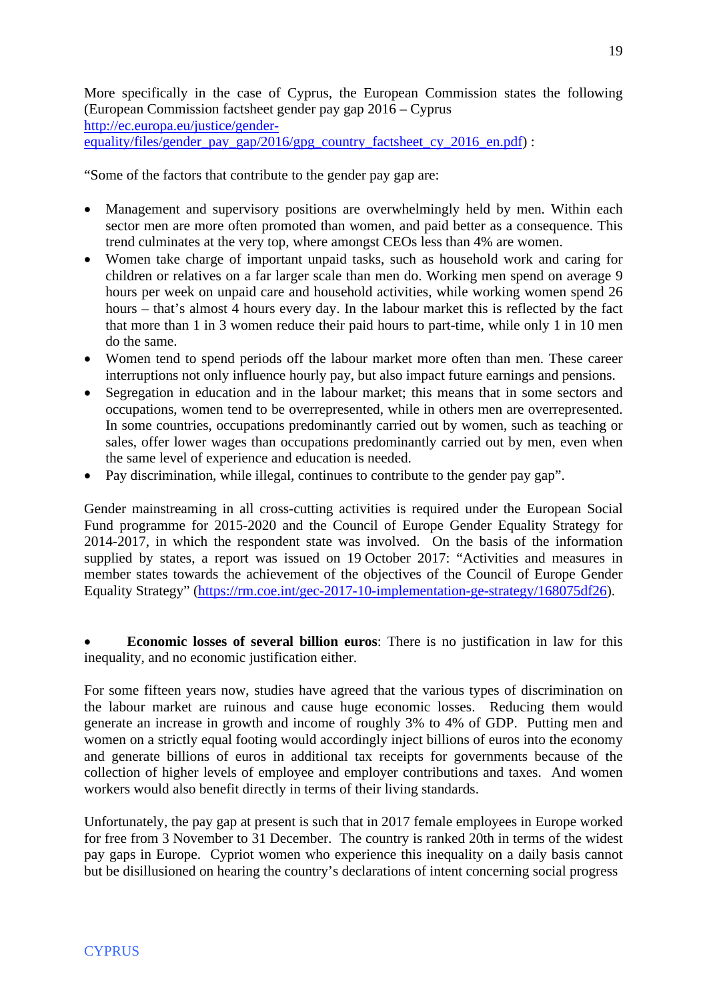More specifically in the case of Cyprus, the European Commission states the following (European Commission factsheet gender pay gap 2016 – Cyprus [http://ec.europa.eu/justice/gender](http://ec.europa.eu/justice/gender-equality/files/gender_pay_gap/2016/gpg_country_factsheet_cy_2016_en.pdf)[equality/files/gender\\_pay\\_gap/2016/gpg\\_country\\_factsheet\\_cy\\_2016\\_en.pdf\)](http://ec.europa.eu/justice/gender-equality/files/gender_pay_gap/2016/gpg_country_factsheet_cy_2016_en.pdf) :

"Some of the factors that contribute to the gender pay gap are:

- Management and supervisory positions are overwhelmingly held by men. Within each sector men are more often promoted than women, and paid better as a consequence. This trend culminates at the very top, where amongst CEOs less than 4% are women.
- Women take charge of important unpaid tasks, such as household work and caring for children or relatives on a far larger scale than men do. Working men spend on average 9 hours per week on unpaid care and household activities, while working women spend 26 hours – that's almost 4 hours every day. In the labour market this is reflected by the fact that more than 1 in 3 women reduce their paid hours to part-time, while only 1 in 10 men do the same.
- Women tend to spend periods off the labour market more often than men. These career interruptions not only influence hourly pay, but also impact future earnings and pensions.
- Segregation in education and in the labour market; this means that in some sectors and occupations, women tend to be overrepresented, while in others men are overrepresented. In some countries, occupations predominantly carried out by women, such as teaching or sales, offer lower wages than occupations predominantly carried out by men, even when the same level of experience and education is needed.
- Pay discrimination, while illegal, continues to contribute to the gender pay gap".

Gender mainstreaming in all cross-cutting activities is required under the European Social Fund programme for 2015-2020 and the Council of Europe Gender Equality Strategy for 2014-2017, in which the respondent state was involved. On the basis of the information supplied by states, a report was issued on 19 October 2017: "Activities and measures in member states towards the achievement of the objectives of the Council of Europe Gender Equality Strategy" ([https://rm.coe.int/gec-2017-10-implementation-ge-strategy/168075df26\)](https://rm.coe.int/gec-2017-10-implementation-ge-strategy/168075df26).

 **Economic losses of several billion euros**: There is no justification in law for this inequality, and no economic justification either.

For some fifteen years now, studies have agreed that the various types of discrimination on the labour market are ruinous and cause huge economic losses. Reducing them would generate an increase in growth and income of roughly 3% to 4% of GDP. Putting men and women on a strictly equal footing would accordingly inject billions of euros into the economy and generate billions of euros in additional tax receipts for governments because of the collection of higher levels of employee and employer contributions and taxes. And women workers would also benefit directly in terms of their living standards.

Unfortunately, the pay gap at present is such that in 2017 female employees in Europe worked for free from 3 November to 31 December. The country is ranked 20th in terms of the widest pay gaps in Europe. Cypriot women who experience this inequality on a daily basis cannot but be disillusioned on hearing the country's declarations of intent concerning social progress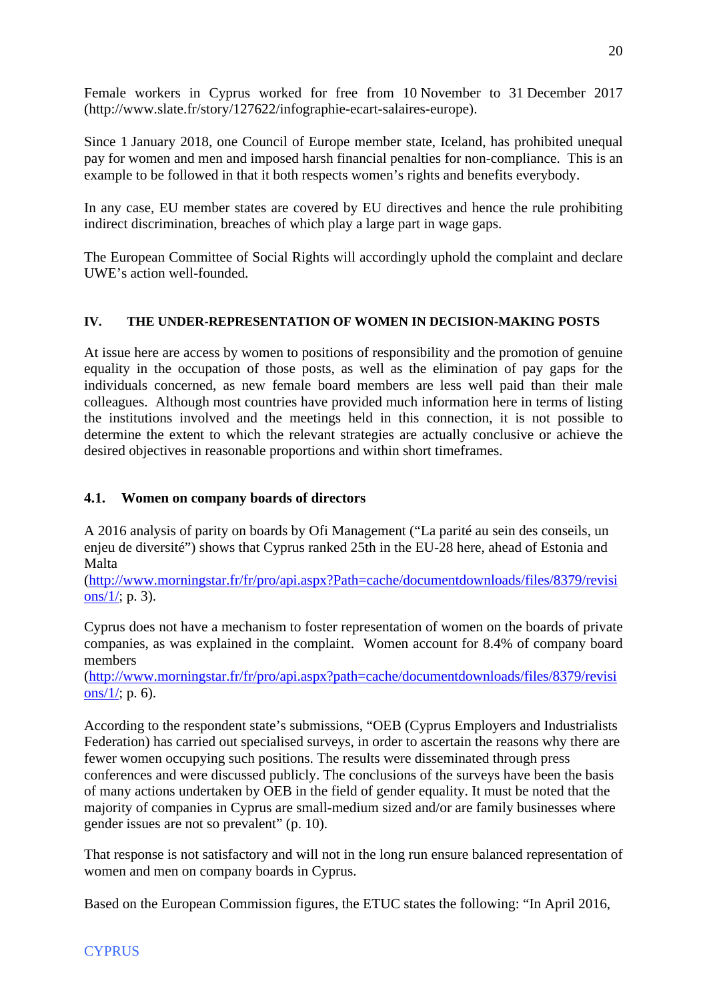Female workers in Cyprus worked for free from 10 November to 31 December 2017 (http://www.slate.fr/story/127622/infographie-ecart-salaires-europe).

Since 1 January 2018, one Council of Europe member state, Iceland, has prohibited unequal pay for women and men and imposed harsh financial penalties for non-compliance. This is an example to be followed in that it both respects women's rights and benefits everybody.

In any case, EU member states are covered by EU directives and hence the rule prohibiting indirect discrimination, breaches of which play a large part in wage gaps.

The European Committee of Social Rights will accordingly uphold the complaint and declare UWE's action well-founded.

# **IV. THE UNDER-REPRESENTATION OF WOMEN IN DECISION-MAKING POSTS**

At issue here are access by women to positions of responsibility and the promotion of genuine equality in the occupation of those posts, as well as the elimination of pay gaps for the individuals concerned, as new female board members are less well paid than their male colleagues. Although most countries have provided much information here in terms of listing the institutions involved and the meetings held in this connection, it is not possible to determine the extent to which the relevant strategies are actually conclusive or achieve the desired objectives in reasonable proportions and within short timeframes.

# **4.1. Women on company boards of directors**

A 2016 analysis of parity on boards by Ofi Management ("La parité au sein des conseils, un enjeu de diversité") shows that Cyprus ranked 25th in the EU-28 here, ahead of Estonia and Malta

([http://www.morningstar.fr/fr/pro/api.aspx?Path=cache/documentdownloads/files/8379/revisi](http://www.morningstar.fr/fr/pro/api.aspx?path=cache/documentdownloads/files/8379/revisions/1/) ons/ $1/$ ; p. 3).

Cyprus does not have a mechanism to foster representation of women on the boards of private companies, as was explained in the complaint. Women account for 8.4% of company board members

([http://www.morningstar.fr/fr/pro/api.aspx?path=cache/documentdownloads/files/8379/revisi](http://www.morningstar.fr/fr/pro/api.aspx?path=cache/documentdownloads/files/8379/revisions/1/) ons/ $1/$ ; p. 6).

According to the respondent state's submissions, "OEB (Cyprus Employers and Industrialists Federation) has carried out specialised surveys, in order to ascertain the reasons why there are fewer women occupying such positions. The results were disseminated through press conferences and were discussed publicly. The conclusions of the surveys have been the basis of many actions undertaken by OEB in the field of gender equality. It must be noted that the majority of companies in Cyprus are small-medium sized and/or are family businesses where gender issues are not so prevalent" (p. 10).

That response is not satisfactory and will not in the long run ensure balanced representation of women and men on company boards in Cyprus.

Based on the European Commission figures, the ETUC states the following: "In April 2016,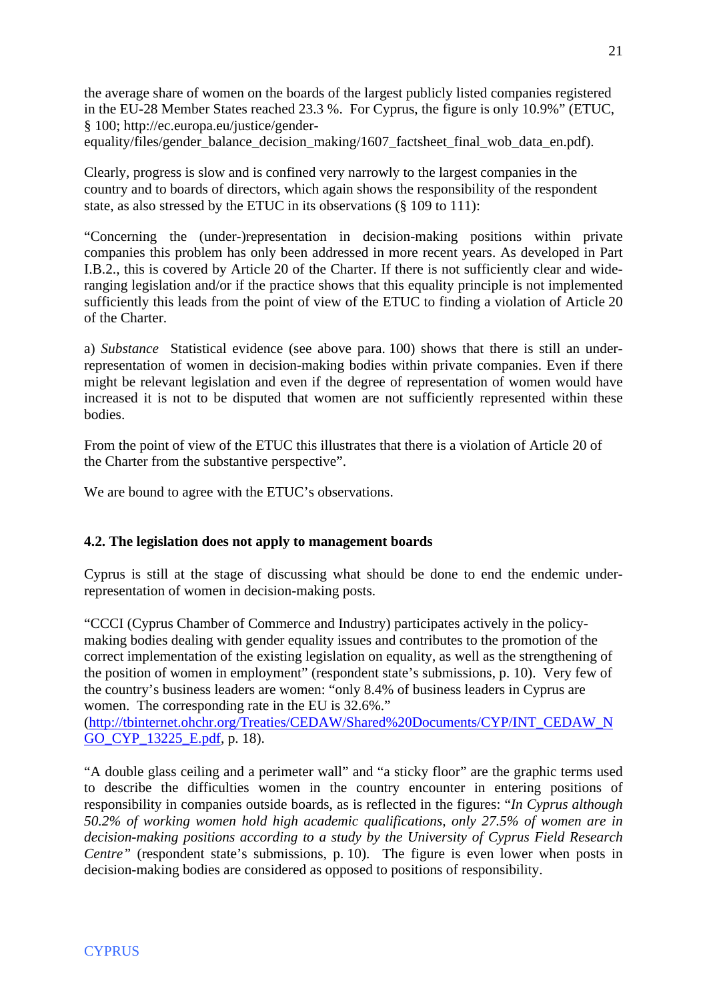the average share of women on the boards of the largest publicly listed companies registered in the EU-28 Member States reached 23.3 %. For Cyprus, the figure is only 10.9%" (ETUC, § 100; http://ec.europa.eu/justice/gender-

equality/files/gender\_balance\_decision\_making/1607\_factsheet\_final\_wob\_data\_en.pdf).

Clearly, progress is slow and is confined very narrowly to the largest companies in the country and to boards of directors, which again shows the responsibility of the respondent state, as also stressed by the ETUC in its observations (§ 109 to 111):

"Concerning the (under-)representation in decision-making positions within private companies this problem has only been addressed in more recent years. As developed in Part I.B.2., this is covered by Article 20 of the Charter. If there is not sufficiently clear and wideranging legislation and/or if the practice shows that this equality principle is not implemented sufficiently this leads from the point of view of the ETUC to finding a violation of Article 20 of the Charter.

a) *Substance* Statistical evidence (see above para. 100) shows that there is still an underrepresentation of women in decision-making bodies within private companies. Even if there might be relevant legislation and even if the degree of representation of women would have increased it is not to be disputed that women are not sufficiently represented within these bodies.

From the point of view of the ETUC this illustrates that there is a violation of Article 20 of the Charter from the substantive perspective".

We are bound to agree with the ETUC's observations.

# **4.2. The legislation does not apply to management boards**

Cyprus is still at the stage of discussing what should be done to end the endemic underrepresentation of women in decision-making posts.

"CCCI (Cyprus Chamber of Commerce and Industry) participates actively in the policymaking bodies dealing with gender equality issues and contributes to the promotion of the correct implementation of the existing legislation on equality, as well as the strengthening of the position of women in employment" (respondent state's submissions, p. 10). Very few of the country's business leaders are women: "only 8.4% of business leaders in Cyprus are women. The corresponding rate in the EU is 32.6%."

([http://tbinternet.ohchr.org/Treaties/CEDAW/Shared%20Documents/CYP/INT\\_CEDAW\\_N](http://tbinternet.ohchr.org/Treaties/CEDAW/Shared%20Documents/CYP/INT_CEDAW_NGO_CYP_13225_E.pdf) GO CYP 13225 E.pdf, p. 18).

"A double glass ceiling and a perimeter wall" and "a sticky floor" are the graphic terms used to describe the difficulties women in the country encounter in entering positions of responsibility in companies outside boards, as is reflected in the figures: "*In Cyprus although 50.2% of working women hold high academic qualifications, only 27.5% of women are in decision-making positions according to a study by the University of Cyprus Field Research Centre*" (respondent state's submissions, p. 10). The figure is even lower when posts in decision-making bodies are considered as opposed to positions of responsibility.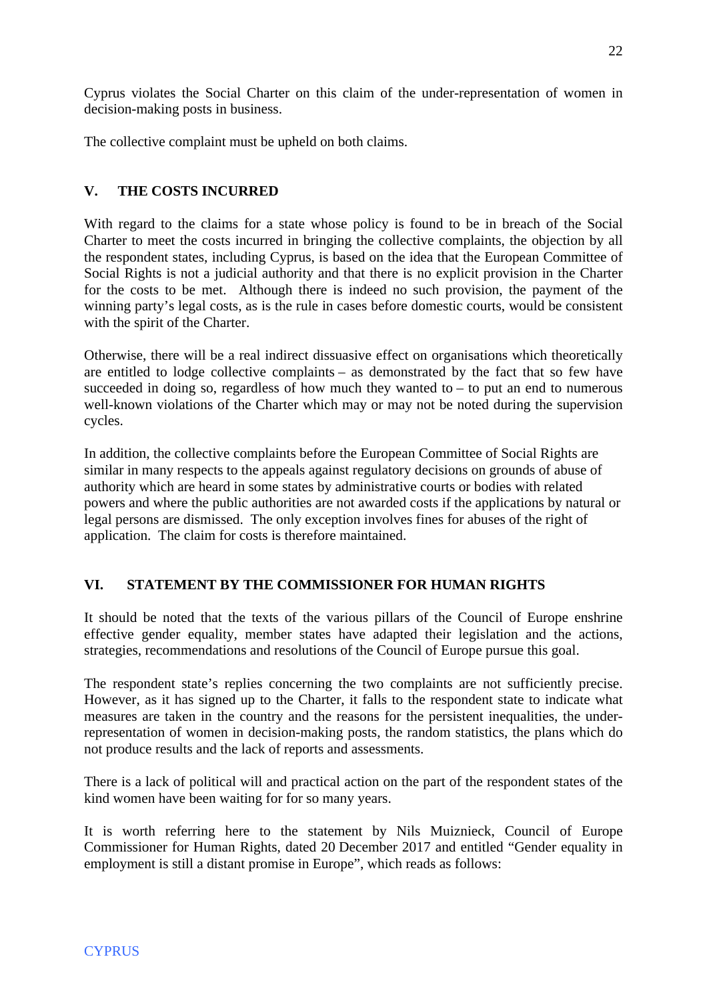Cyprus violates the Social Charter on this claim of the under-representation of women in decision-making posts in business.

The collective complaint must be upheld on both claims.

# **V. THE COSTS INCURRED**

With regard to the claims for a state whose policy is found to be in breach of the Social Charter to meet the costs incurred in bringing the collective complaints, the objection by all the respondent states, including Cyprus, is based on the idea that the European Committee of Social Rights is not a judicial authority and that there is no explicit provision in the Charter for the costs to be met. Although there is indeed no such provision, the payment of the winning party's legal costs, as is the rule in cases before domestic courts, would be consistent with the spirit of the Charter.

Otherwise, there will be a real indirect dissuasive effect on organisations which theoretically are entitled to lodge collective complaints – as demonstrated by the fact that so few have succeeded in doing so, regardless of how much they wanted to  $-$  to put an end to numerous well-known violations of the Charter which may or may not be noted during the supervision cycles.

In addition, the collective complaints before the European Committee of Social Rights are similar in many respects to the appeals against regulatory decisions on grounds of abuse of authority which are heard in some states by administrative courts or bodies with related powers and where the public authorities are not awarded costs if the applications by natural or legal persons are dismissed. The only exception involves fines for abuses of the right of application. The claim for costs is therefore maintained.

# **VI. STATEMENT BY THE COMMISSIONER FOR HUMAN RIGHTS**

It should be noted that the texts of the various pillars of the Council of Europe enshrine effective gender equality, member states have adapted their legislation and the actions, strategies, recommendations and resolutions of the Council of Europe pursue this goal.

The respondent state's replies concerning the two complaints are not sufficiently precise. However, as it has signed up to the Charter, it falls to the respondent state to indicate what measures are taken in the country and the reasons for the persistent inequalities, the underrepresentation of women in decision-making posts, the random statistics, the plans which do not produce results and the lack of reports and assessments.

There is a lack of political will and practical action on the part of the respondent states of the kind women have been waiting for for so many years.

It is worth referring here to the statement by Nils Muiznieck, Council of Europe Commissioner for Human Rights, dated 20 December 2017 and entitled "Gender equality in employment is still a distant promise in Europe", which reads as follows: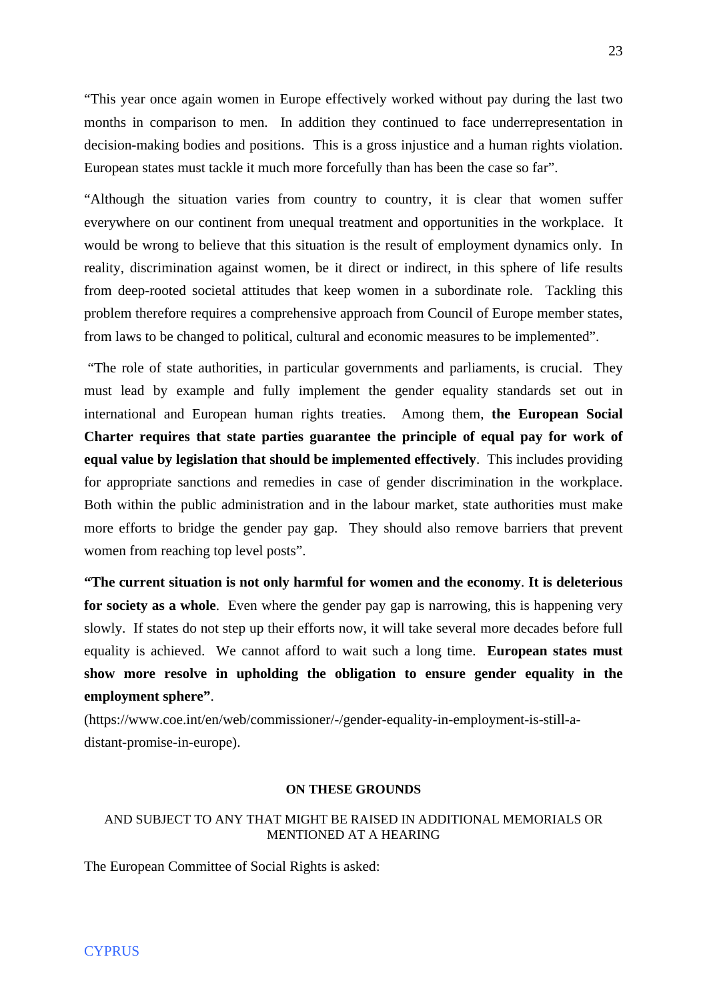"This year once again women in Europe effectively worked without pay during the last two months in comparison to men. In addition they continued to face underrepresentation in decision-making bodies and positions. This is a gross injustice and a human rights violation. European states must tackle it much more forcefully than has been the case so far".

"Although the situation varies from country to country, it is clear that women suffer everywhere on our continent from unequal treatment and opportunities in the workplace. It would be wrong to believe that this situation is the result of employment dynamics only. In reality, discrimination against women, be it direct or indirect, in this sphere of life results from deep-rooted societal attitudes that keep women in a subordinate role. Tackling this problem therefore requires a comprehensive approach from Council of Europe member states, from laws to be changed to political, cultural and economic measures to be implemented".

 "The role of state authorities, in particular governments and parliaments, is crucial. They must lead by example and fully implement the gender equality standards set out in international and European human rights treaties. Among them, **the European Social Charter requires that state parties guarantee the principle of equal pay for work of equal value by legislation that should be implemented effectively**. This includes providing for appropriate sanctions and remedies in case of gender discrimination in the workplace. Both within the public administration and in the labour market, state authorities must make more efforts to bridge the gender pay gap. They should also remove barriers that prevent women from reaching top level posts".

**"The current situation is not only harmful for women and the economy**. **It is deleterious for society as a whole**. Even where the gender pay gap is narrowing, this is happening very slowly. If states do not step up their efforts now, it will take several more decades before full equality is achieved. We cannot afford to wait such a long time. **European states must show more resolve in upholding the obligation to ensure gender equality in the employment sphere"**.

(https://www.coe.int/en/web/commissioner/-/gender-equality-in-employment-is-still-adistant-promise-in-europe).

#### **ON THESE GROUNDS**

#### AND SUBJECT TO ANY THAT MIGHT BE RAISED IN ADDITIONAL MEMORIALS OR MENTIONED AT A HEARING

The European Committee of Social Rights is asked: